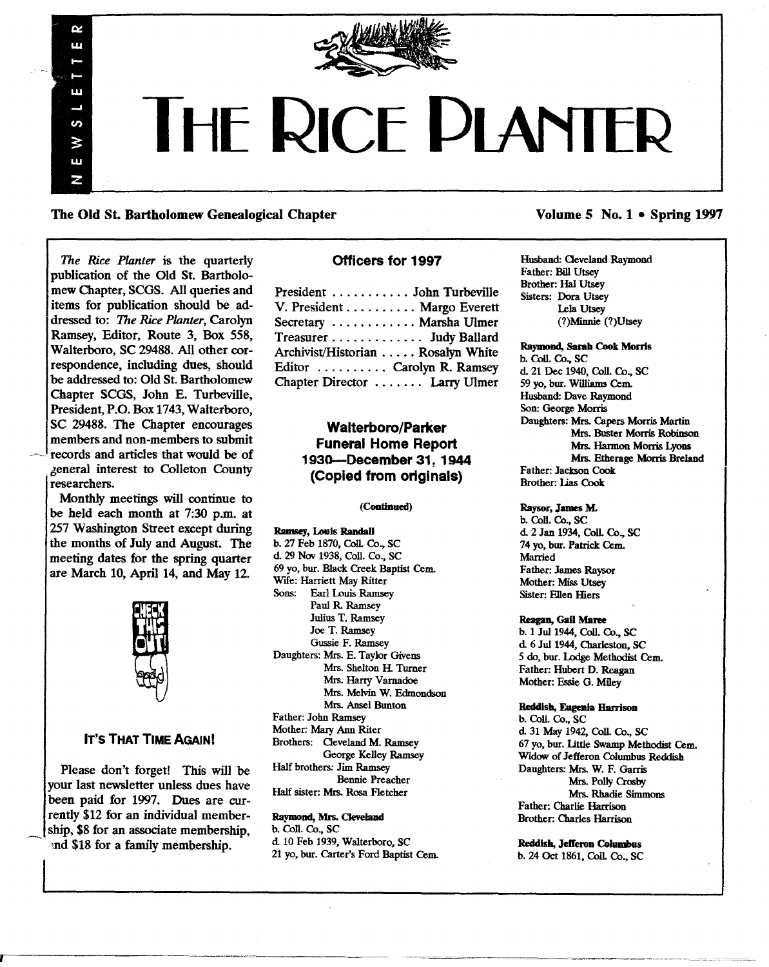

# **THE RICE D** R

The Old St. Bartholomew Genealogical Chapter

*The Rice Planter* is the quarterly publication of the Old St. Bartholomew Chapter, SCGS. All queries and items for publication should be addressed to: *The Rice Planter,* Carolyn Ramsey, Editor, Route 3, Box 558, Walterboro, SC 29488. All other correspondence, including dues, should be addressed to: Old St. Bartholomew Chapter SCGS, John E. Turbeville, President, P.O. Box 1743, Walterboro, SC 29488. The Chapter encourages members and non-members to submit records and articles that would be of 6eneral interest to Colleton County researchers.

œ ui.

Ш

in ⋧ 3.3.9 Z

Monthly meetings will continue to be held each month at 7:30 p.m. at 257 Washington Street except during the months of July and August. The meeting dates for the spring quarter are March 10, April 14, and May 12.



#### IT'S THAT TIME AGAIN!

Please don't forget! This will be your last newsletter unless dues have been paid for 1997. Dues are currently \$12 for an individual membership, \$8 for an associate membership, and \$18 for a family membership.

#### Officers for 1997

| President  John Turbeville        |  |
|-----------------------------------|--|
| V. President Margo Everett        |  |
| Secretary  Marsha Ulmer           |  |
| Treasurer Judy Ballard            |  |
| Archivist/Historian Rosalyn White |  |
| Editor  Carolyn R. Ramsey         |  |
| Chapter Director  Larry Ulmer     |  |
|                                   |  |

### Walterboro/Parker Funeral Home Report 1930-December 31~1944 (Copied from originals)

(Continued)

Ramsey, Louis Randall b. 27 Feb 1870, CoIL Co., SC d. 29 Nov 1938, Coll. Co., SC 69 yo, bur. Black Creek Baptist Cern.. Wife: Harriett May Ritter Sons: Earl Louis Ramsey Paul R. Ramsey Julius T. Ramsey Joe T. Ramsey Gussie F. Ramsey Daughters: Mrs. E. Taylor Givens Mrs. Shelton H. Turner Mrs. Harty Varnadoe Mrs. Melvin W. Edmondson Mrs. Ansel Bunton Father: John Ramsey Mother: Mary Ann Riter Brothers: Oeveland M. Ramsey George Kelley Ramsey Half brothers: Jim Ramsey Bennie Preacher Half sister: Mrs. Rosa Fletcher

#### Raymond, Mrs. Cleveland

b. CoIl. Co., SC d 10 Feb 1939, Walterboro, SC 21 yo, bur. Carter's Ford Baptist Cem.

#### Volume 5 No. 1 • Spring 1997

Husband: Oeveland Raymond Father: Bill Utsey Brother: Hal Utsey Sisters: Dora Utsey Lela Utsey (?)Minnie (?)Utsey

Raymond, Sarah Coot Morris b. Coll. Co., SC d. 21 Dec 1940, Coll. Co., SC 59 yo, bur. Williams Cem. Husband: Dave Raymond Son: George Morris Daughters: Mrs. Capers Morris Martin Mrs. Buster Morris Robinson Mrs. Harmon Morris Lyoos Mrs. Etherage Morris Breland Father: Jackson Cook Brother: Lias Cook

Raysor, James M. b. Coll. Co., SC d. 2 Jan 1934, Coll. Co., SC 74 yo, bur. Patrick Cem. Married Father: James Raysor Mother: Miss Utsey Sister: FJIen Hiers

Reagan, Gail Maree

b. 1 Jul1944, ColI. Co., SC d. 6 Jul 1944, Charleston, SC 5 do, bur. Lodge Methodist Cern.. Father: Hubert D. Reagan Mother: Essie G. Miley

Reddish, Eugenia Harrison b. CoIl. Co., SC d 31 May 1942, CoIl. Co., SC 67 yo, bur. little Swamp Methodist Cern.. Widow of Jefferon Columbus Reddish Daughters: Mrs. W. F. Garris Mrs. Polly Crosby Mrs. Rhadie Simmons Father: Charlie Harrison Brother: Charles Harrison

R.eddish, Jelferon Columbus b. 24 Oct 1861, CoIl. Co., SC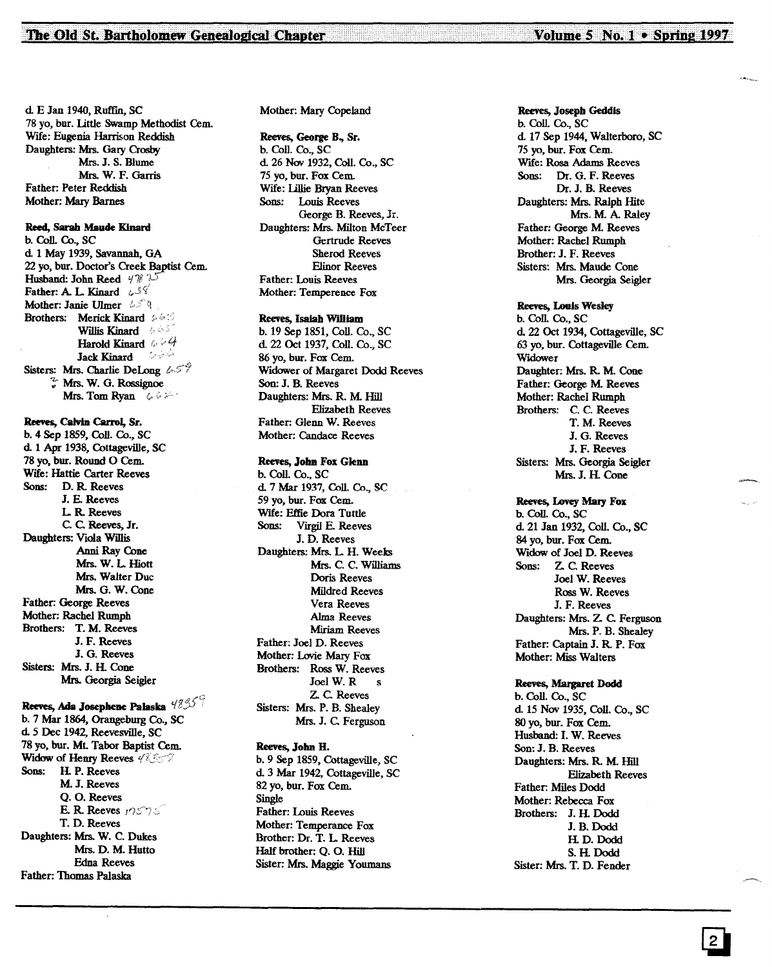d. E Jan 1940, Ruffin. SC 78 yo, bur. little Swamp Methodist Cem. Wlfe: Eugenia Harrison Reddish Daughters: Mrs. Gary Crosby Mrs. J. S. Blume Mrs. W. F. Garris Father: Peter Reddish Mother: Mary Barnes

#### Reed, Sarah Maude Kinard

b. Coll. Co., SC d 1 May 1939, Savannah, GA 22 yo, bur. Doctor's Creek Baptist Cem. Husband: John Reed  $4\%$  ? Father: A. L. Kinard  $\omega$ S Mother: Janie Ulmer 45° Brothers: Merick Kinard  $\neq \emptyset$ Willis Kinard **And** Harold Kinard  $\omega \in 4$ Jack Kinard 6 Sisters: Mrs. Charlie DeLong  $65\%$ ': Mrs. W. G. Rossignoe Mrs. Tom Ryan (

#### Reeves, Calvin Carrol, Sr.

b. 4 Sep 1859, ColI. Co., SC d 1 Apr 1938, Cottageville, SC 78 yo, bur. Round 0 Cem. Wife: Hattie Carter Reeves Sons: D. R Reeves J. E. Reeves L. R. Reeves C. C. Reeves, Jr. Daughters: Viola Willis Anni Ray Cone Mrs. W. L. Hiott Mrs. Walter Due Mrs. G. W. Cone Father: George Reeves Mother: Rachel Rumph Brothers: T. M. Reeves J. F. Reeves J. G. Reeves Sisters: Mrs. J. H. Cone Mrs. Georgia Seigler

#### Reeves, Ada Josephene Palaska  $48\%$

b. 7 Mar 1864, Orangeburg Co., SC d 5 Dee 1942, Reevesville, SC 78 yo, bur. Mt. Tabor Baptist Cem. Widow of Henry Reeves 48.357 Sons: H. P. Reeves M.J. Reeves Q. O. Reeves E. R. Reeves  $17575$ T. D. Reeves Daughters: Mrs. W. C. Dukes Mrs. D. M. Hutto Edna Reeves Father: Thomas Palaska

#### Mother: Mary Copeland

#### Reeves, George B., Sr.

b. ColI. Co., SC d 26 Nov 1932, ColI. Co., SC 75 yo, bur. Fox Cem. Wife: lillie Bryan Reeves Sons: Louis Reeves George B. Reeves, Jr. Daughters: Mrs. Milton McTeer Gertrude Reeves Sherod Reeves Elinor Reeves Father: Louis Reeves Mother: Temperence Fox

#### Reeves, Isaiah William

b. 19 Sep 1851, ColI. Co., SC d 22 Oct 1937, ColI. Co., SC 86 yo, bur. Fox Cem. Widower of Margaret Dodd Reeves Son: J. B. Reeves Daughters: Mrs. R. M Hill Elizabeth Reeves Father: Glenn W. Reeves Mother: Candace Reeves

#### Reeves, John Fox Glenn

b. ColI. Co., SC d 7 Mar 1937, ColL Co., SC 59 yo, bur. Fox Cem. Wlfe: Effie Dora Tuttle Sons: Virgil E. Reeves J. D. Reeves Daughters: Mrs. L. H. Weeks Mrs. C. C. Williams Doris Reeves Mildred Reeves Vera Reeves Alma Reeves Miriam Reeves Father: Joel D. Reeves Mother: Lovie Mary Fox Brothers: Ross W. Reeves Joel W. R s Z. C. Reeves Sisters: Mrs. P. B. Shealey Mrs. J. C. Ferguson

#### Reeves, Jolm H. b. 9 Sep 1859, Cottageville, SC d. 3 Mar 1942, Cottageville, SC 82 yo, bur. Fox Cem. Single Father: Louis Reeves Mother: Temperance Fox Brother: Dr. T. L. Reeves Half brother: Q. O. Hill

Sister: Mrs. Maggie Youmans

#### Reeves, Joseph Geddis

b. Coll. Co., SC d. 17 Sep 1944, Walterboro, SC 75 yo, bur. Fox Cem. Wlfe: Rosa Adams Reeves Sons: Dr. G. F. Reeves Dr. J. B. Reeves Daughters: Mrs. Ralph Hite Mrs. M. A. Raley Father: George M. Reeves Mother: Rachel Rumph Brother: J. F. Reeves Sisters: Mrs. Maude Cone Mrs. Georgia Seigler

#### Reeves, Louis Wesley

b. ColI. Co., SC d. 22 Oct 1934, Cottageville, SC 63 yo, bur. Cottageville Cem. Widower Daughter: Mrs. R. M. Cone Father: George M. Reeves Mother: Rachel Rumph Brothers: C. C. Reeves T. M. Reeves J. G. Reeves J. F. Reeves Sisters: Mrs. Georgia Seigler Mrs. J. H. Cone

#### Reeves, Lovey Mary Fox

b. ColI. Co., SC d 21 Jan 1932, ColI. Co., SC 84 yo, bur. Fox Cem. Widow of Joel D. Reeves Sons: Z. C. Reeves Joel W. Reeves Ross W. Reeves J. F. Reeves Daughters: Mrs. Z. C. Ferguson Mrs. P. B. Shealey Father: Captain J. R P. Fox Mother: Miss Walters

#### Reeves, Margaret Dodd

b. ColL Co., SC d 15 Nov 1935, ColI. Co., SC 80 yo, bur. Fox Cem. Husband: I. W. Reeves Son: J. B. Reeves Daughters: Mrs. R. M. Hill Elizabeth Reeves Father: Miles Dodd Mother: Rebecca Fox Brothers: J. H. Dodd J.B.Dodd H. D. Dodd S. H. Dodd Sister: Mrs. T. D. Fender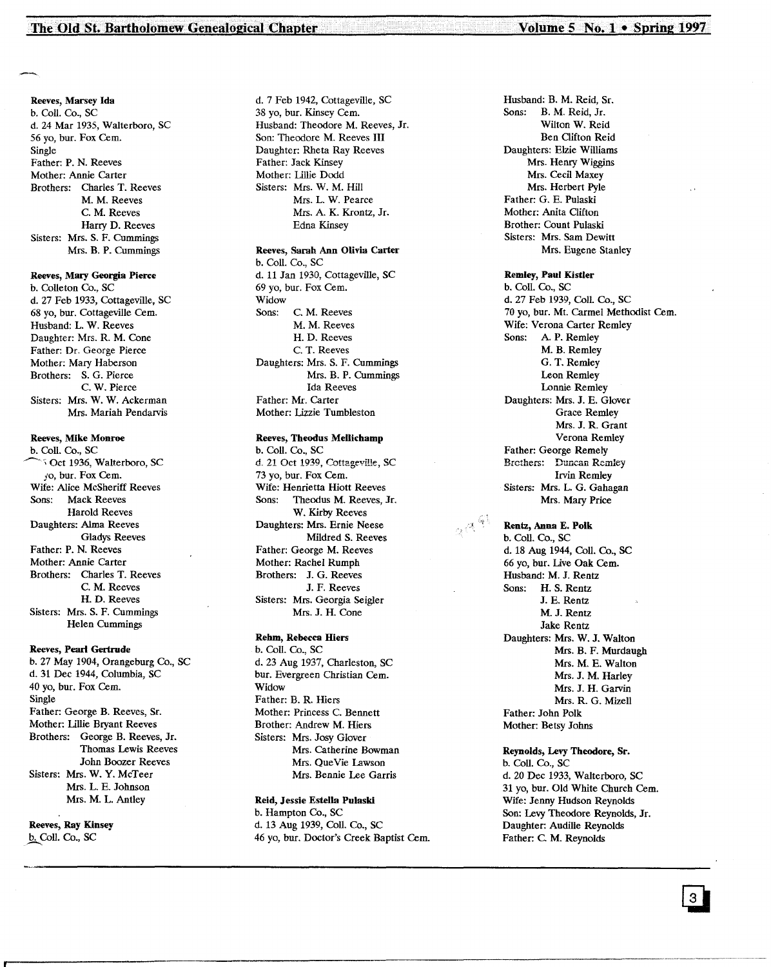#### Reeves, Marsey Ida

b. Coil. Co., SC d. 24 Mar 1935, Walterboro, SC 56 yo, bur. Fox Cern. Single Father: P. N. Reeves Mother: Annie Carter Brothers: Charles T. Reeves M. M. Reeves C. M. Reeves Harry D. Reeves Sisters: Mrs. S. F. Cummings Mrs. B. P. Cummings

#### Reeves, Mary Georgia Pierce

b. Colleton Co., SC d. 27 Feb 1933, Cottageville, SC 68 yo, bur. Cottageville Cern. Husband: L. W. Reeves Daughter: Mrs. R. M. Cone Father: Dr. George Pierce Mother: Mary Haberson Brothers: S. G. Pierce C. W. Pierce Sisters: Mrs. W. W. Ackerman Mrs. Mariah Pendarvis

#### Reeves, Mike Monroe

b. Coll. Co., SC ~,Oct 1936, Walterboro, SC *fO,* bur. Fox Cern. Wife: Alice McSheriff Reeves Sons: Mack Reeves Harold Reeves Daughters: Alma Reeves Gladys Reeves Father: P. N. Reeves Mother: Annie Carter Brothers: Charles T. Reeves C. M. Reeves H. D. Reeves Sisters: Mrs. S. F. Cummings Helen Cummings

#### Reeves, Pearl Gertrude

b. 27 May 1904, Orangeburg Co., SC d. 31 Dec 1944, Columbia, SC 40 yo, bur. Fox Cem. Single Father: George B. Reeves, Sr. Mother: Lillie Bryant Reeves Brothers: George B. Reeves, Jr. Thomas Lewis Reeves John Boozer Reeves Sisters: Mrs. W. Y. McTeer Mrs. L. E. Johnson Mrs. M. L. Antley

Reeves, Ray Kinsey b. Coll. Co., SC

d. 7 Feb 1942, Cottageville, SC 38 yo, bur. Kinsey Cem. Husband: Theodore M. Reeves, Jr. Son: Theodore M. Reeves III Daughter: Rheta Ray Reeves Father: Jack Kinsey Mother: Lillie Dodd Sisters: Mrs. W. M. Hill Mrs. L. W. Pearce Mrs. A. K. Krontz, Jr. Edna Kinsey

#### Reeves, Sarah Ann Olivia Carter

b. ColI. Co., SC d. 11 Jan 1930, Cottageville, SC 69 yo, bur. Fox Cern. Widow Sons: C. M. Reeves M. M. Reeves H. D. Reeves C. T. Reeves Daughters: Mrs. S. F. Cummings Mrs. B. P. Cummings Ida Reeves Father: Mr. Carter Mother: Lizzie Tumbleston

#### Reeves, Theodus Mellichamp

b. Coll. Co., SC d. 21 Oct 1939, Cottageville, SC 73 yo, bur. Fox Cem. Wife: Henrietta Hiott Reeves Sons: Theodus M. Reeves, Jr. W. Kirby Reeves Daughters: Mrs. Ernie Neese Mildred S. Reeves Father: George M. Reeves Mother: Rachel Rumph Brothers: J. G. Reeves J. F. Reeves Sisters: Mrs. Georgia Seigler Mrs. J. H. Cone

#### Rehm, Rebecca Hiers

b. Coll. Co., SC d. 23 Aug 1937, Charleston, SC bur. Evergreen Christian Cem. Widow Father: B. R. Hiers Mother: Princess C. Bennett Brother: Andrew M. Hiers Sisters: Mrs. Josy Glover Mrs. Catherine Bowman Mrs. Que Vie Lawson Mrs. Bennie Lee Garris

#### Reid, Jessie Estella Pulaski

b. Hampton Co., SC d. 13 Aug 1939, Coll. Co., SC 46 yo, bur. Doctor's Creek Baptist Cem.

------------------------------------------------------.\_---\_. \_\_ ..\_--------

Husband: B. M. Reid, Sr. Sons: B. M. Reid, Jr. Wilton W. Reid Ben Oifton Reid Daughters: Elzie Williams Mrs. Henry Wiggins Mrs. Cecil Maxey Mrs. Herbert Pyle Father: G. E. Pulaski Mother: Anita Clifton Brother: Count Pulaski Sisters: Mrs. Sam Dewitt Mrs. Eugene Stanley

#### Remley, Paul Kistler

b. Coll. Co., SC d. 27 Feb 1939, ColI. Co., SC 70 yo, bur. Mt. Carmel Methodist Cem. Wife: Verona Carter Remley Sons: A. P. Remley M. B. Remley G. T. Remley Leon Remley Lonnie Remley Daughters: Mrs. J. E. Glover Grace Remley Mrs. J. R. Grant Verona Remley Father: George Remely Brethers: Duncan Remley Irvin Remley Sisters: Mrs. L. G. Gahagan Mrs. Mary Price

Rentz, Anna E. Polk b. Coll. Co., SC d. 18 Aug 1944, Coll. Co., SC 66 yo, bur. Live Oak Cem. Husband: M. J. Rentz Sons: H. S. Rentz J. E. Rentz M. J. Rentz Jake Rentz Daughters: Mrs. W. J. Walton Mrs. B. F. Murdaugh Mrs. M. E. Walton Mrs.J. M. Harley Mrs. J. H. Garvin Mrs. R. G. Mizell Father: John Polk Mother: Betsy Johns

Reynolds, Levy Theodore, Sr. b. Coll. Co., SC d. 20 Dec 1933, Walterboro, SC 31 yo, bur. Old White Church Cem. Wife: Jenny Hudson Reynolds Son: Levy Theodore Reynolds, Jr. Daughter: Audille Reynolds Father: C. M. Reynolds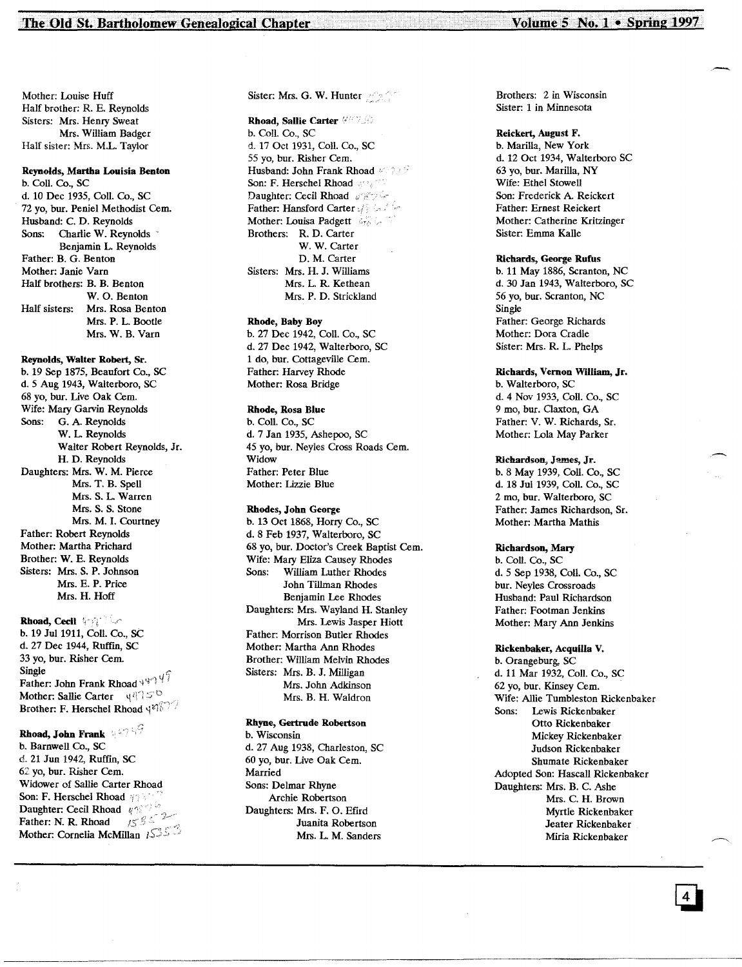Mother: Louise Huff Half brother: R. E. Reynolds Sisters: Mrs. Henry Sweat Mrs. William Badger Half sister: Mrs. M.L. Taylor

#### Reynolds, Martha Louisia Benton

b. Coli. Co., SC d. 10 Dec 1935, Coli. Co., SC 72 yo, bur. Peniel Methodist Cem. Husband: C. D. Reynolds Sons: Charlie W. Reynolds Benjamin L. Reynolds Father: B. G. Benton Mother: Janie Yarn Half brothers: B. B. Benton W. O. Benton Half sisters: Mrs. Rosa Benton Mrs. P. L. Bootie Mrs. W. B. Yarn

Reynolds, Walter Robert, Sr. b. 19 Sep 1875, Beaufort Co., SC d.5 Aug 1943, Walterboro, SC 68 yo, bur. live Oak Cern. Wife: Mary Garvin Reynolds Sons: G. A. Reynolds W. L. Reynolds Walter Robert Reynolds, Jr. H. D. Reynolds Daughters: Mrs. W. M. Pierce Mrs. T. B. Spell Mrs. S. L. Warren Mrs. S. S. Stone Mrs. M. I. Courtney Father: Robert Reynolds Mother: Martha Prichard Brother: W. E. Reynolds Sisters: Mrs. S. P. Johnson Mrs. E. P. Price Mrs. H. Hoff

Rhoad, Cecil 'international b. 19 Jul 1911, Coll. Co., SC d. 27 Dec 1944, Rufim, SC 33 yo, bur. Risher Cem.<br>Single Father: John Frank Rhoad  $\frac{1}{4}$ <sup>4.</sup> Mother: Sallie Carter  $\left\Vert \psi\right\Vert \leq0$ Brother: F. Herschel Rhoad 44877

## Rhoad, John Frank  $\mathbb{R}^{\mathbb{Z} \times \mathbb{R} \times \mathbb{Z}}$

b. Barnwell Co., SC d. 21 Jun 1942, Ruffin, SC 62 yo, bur. Risher Cem. Widower of Sallie Carter Rhoad Son: F. Herschel Rhoad  $\gamma$ Daughter: Cecil Rhoad  $\sqrt[q]{\frac{1}{n}}$ Father: N. R. Rhoad  $15$ <sup>85</sup> Mother: Cornelia McMillan 1535 Sister: Mrs. G. W. Hunter

Rhoad, Sallie Carter 4771 b. Coll. Co., SC d. 17 Oct 1931, Coli. Co., SC 55 vo. bur. Risher Cem. Husband: John Frank Rhoad Son: F. Herschel Rhoad and an Daughter: Cecil Rhoad # 2004 Father: Hansford Carter of South for Mother: Louisa Padgett Brothers: R. D. Carter W. W. Carter D. M. Carter Sisters: Mrs. H. J. Williams Mrs. L. R. Kethean Mrs. P. D. Strickland

Rhode, Baby Boy b. 27 Dec 1942, ColI. Co., SC d. 27 Dec 1942, Walterboro, SC 1 do, bur. Cottageville Cern. Father: Harvey Rhode Mother: Rosa Bridge

Rhode, Rosa Blue b. Coil. Co., SC d. 7 Jan 1935, Ashepoo, SC 45 yo, bur. Neyles Cross Roads Cern. **Widow** Father: Peter Blue Mother: Lizzie Blue

#### Rhodes, John George b. 13 Oct 1868, Horry Co., SC d.8 Feb 1937, Walterboro, SC 68 yo, bur. Doctor's Creek Baptist Cern. Wife: Mary Eliza Causey Rhodes<br>Sons: William Luther Rhodes William Luther Rhodes John Tillman Rhodes Benjamin Lee Rhodes Daughters: Mrs. Wayland H. Stanley Mrs. Lewis Jasper Hiott Father: Morrison Butler Rhodes

Mother: Martha Ann Rhodes Brother: William Melvin Rhodes Sisters: Mrs. B. J. Milligan Mrs. John Adkinson Mrs. B. H. Waldron

#### Rhyne, Gertrude Robertson

b. Wisconsin d. 27 Aug 1938, Charleston, SC 60 yo, bur. Live Oak Cern. Married Sons: Delmar Rhyne Archie Robertson Daughters: Mrs. F. O. Efird Juanita Robertson Mrs. L. M. Sanders

-------------\_.---\_.\_--------\_.... \_.\_--------------------------

Brothers: 2 in Wisconsin Sister: 1 in Minnesota

#### Reickert, August F.

b. Marilla, New York d. 12 Oct 1934, Walterboro SC 63 yo, bur. Marilla, NY Wife: Ethel Stowell Son: Frederick A. Reickert Father: Ernest Reickert Mother: Catherine Kritzinger Sister: Emma Kalle

#### Richards, George Rufus

b. 11 May 1886, Scranton, NC d. 30 Jan 1943, Walterboro, SC 56 yo, bur. Scranton, NC Single Father: George Richards Mother: Dora Cradle Sister: Mrs. R. L. Phelps

Richards, Vernon William, Jr. b. Walterboro, SC d. 4 Nov 1933, Coli. Co., SC 9 mo, bur. Oaxton, GA Father: V. W. Richards, Sr. Mother: Lola May Parker

#### RIchardson, James, Jr.

b.8 May 1939, Coli. Co., SC d. 18 Jul 1939, Coll. Co., SC 2 mo, bur. Walterboro, SC Father: James Richardson, Sr. Mother: Martha Mathis

#### Richardson, Mary

b. Coil. Co., SC d.5 Sep 1938, Coli. Co., SC bur. Neyles Crossroads Husband: Paul Richardson Father: Footman Jenkins Mother: Mary Ann Jenkins

#### Rickenbaker, Acquilla V.

b. Orangeburg, SC d. 11 Mar 1932, Coil. Co., SC 62 yo, bur. Kinsey Cern. Wife: Allie Tumbleston Rickenbaker Sons: Lewis Rickenbaker Otto Rickenbaker Mickey Rickenbaker Judson Rickenbaker Shumate Rickenbaker Adopted Son: Hascall Rickenbaker Daughters: Mrs. B. C. Ashe Mrs. C. H. Brown Myrtle Rickenbaker Jeater Rickenbaker Miria Rickenbaker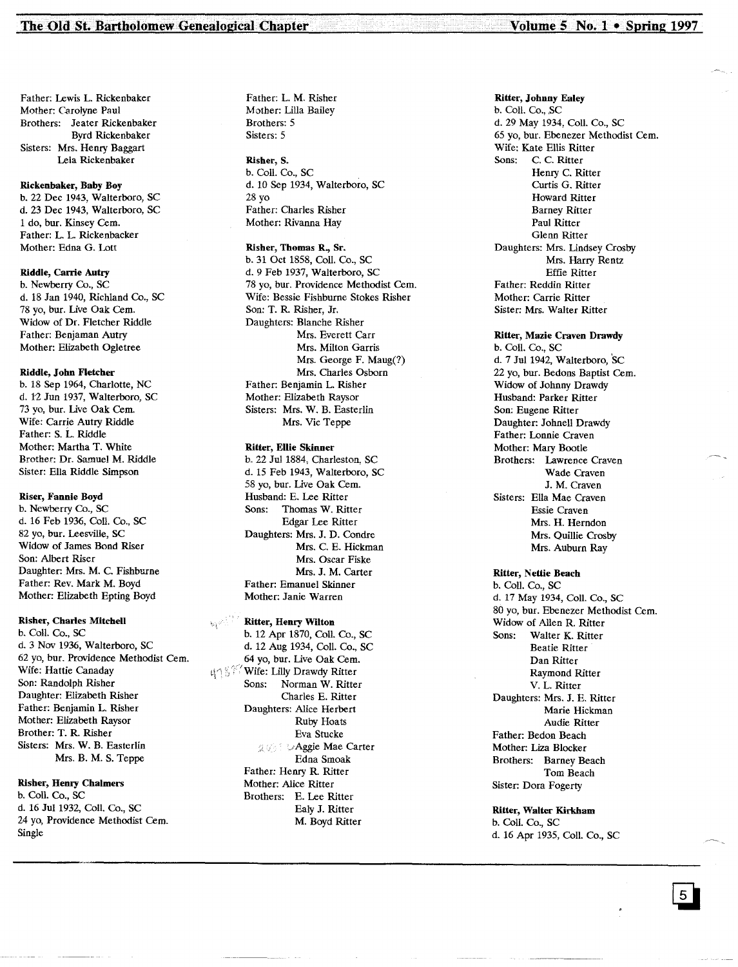Father: Lewis L. Rickenbaker Mother: Carolyne Paul Brothers: Jeater Rickenbaker Byrd Rickenbaker Sisters: Mrs. Henry Baggart Lela Rickenbaker

#### Rickenbaker, Baby Boy

b. 22 Dec 1943, Walterboro, SC d. 23 Dec 1943, Walterboro, SC 1 do, bur. Kinsey Cem. Father: L. L. Rickenbacker Mother: Edna G. Lott

#### Riddle, Carrie Autry

b. Newberry Co., SC d. 18 Jan 1940, Richland Co., SC 78 yo, bur. Live Oak Cem. Widow of Dr. Fletcher Riddle Father: Benjaman Autry Mother: Elizabeth Ogletree

#### Riddle, John Fletcher

b. 18 Sep 1964, Charlotte, NC d. 12 Jun 1937, Walterboro, SC 73 yo, bur. Live Oak Cem. Wife: Carrie Autry Riddle Father: S. L. Riddle Mother: Martha T. White Brother: Dr. Sanmel M. Riddle Sister: Ella Riddle Simpson

#### Riser, Fannie Boyd

b. Newberry Co., SC d. 16 Feb 1936, Coli. Co., SC 82 yo, bur. Leesville, SC Widow of James Bond Riser Son: Albert Riser Daughter: Mrs. M. C. Fishburne Father: Rev. Mark M. Boyd Mother: Elizabeth Epting Boyd

#### Risher, Charles Mitchell

b. Coli. Co., SC d. 3 Nov 1936, Walterboro, SC 62 yo, bur. Providence Methodist Cem. Wife: Hattie Canaday Son: Randolph Risher Daughter: Elizabeth Risher Father: Benjamin L. Risher Mother: Elizabeth Raysor Brother: T. R. Risher Sisters: Mrs. W. B. Easterlin Mrs. B. M. S. Teppe

#### Risher, Henry Chalmers

b. Coll. Co., SC d. 16 Jul 1932, Coli. Co., SC 24 yo, Providence Methodist Cem. Single

Father: L. M. Risher Mother: Lilla Bailey Brothers: 5 Sisters: 5

Risher, S. b. Coli. Co., SC d. 10 Sep 1934, Walterboro, SC 28 yo Father: Charles Risher Mother: Rivanna Hay

Risher, Thomas R., Sr. b. 31 Oct 1858, Coli. Co., SC d. 9 Feb 1937, Walterboro, SC 78 yo, bur. Providence Methodist Cem. Wife: Bessie Fishburne Stokes Risher Son: T. R. Risher, Jr. Daughters: Blanche Risher Mrs. Everett Carr Mrs. Milton Garris Mrs. George F. Maug(?) Mrs. Charles Osborn Father: Benjamin L. Risher Mother: Elizabeth Raysor Sisters: Mrs. W. B. Easterlin Mrs. Vic Teppe

#### Ritter, Ellie Skinner

b. 22 Jul 1884, Charleston, SC d. 15 Feb 1943, Walterboro, SC 58 yo, bur. Live Oak Cem. Husband: E. Lee Ritter Sons: Thomas W. Ritter Edgar Lee Ritter Daughters: Mrs. J. D. Condre Mrs. C. E. Hickman Mrs. Oscar Fiske Mrs. J. M. Carter Father: Emanuel Skinner Mother: Janie Warren

#### Ritter, Henry Wilton

b. 12 Apr 1870, Coli. Co., SC d. 12 Aug 1934, Coli. Co., SC ..64 yo, bur. Live Oak Cem. un & <sup>Y</sup> Wife: Lilly Drawdy Ritter Sons: Norman W. Ritter Charles E. Ritter Daughters: Alice Herbert Ruby Hoats Eva Stucke 25% Maggie Mae Carter Edna Smoak Father: Henry R. Ritter Mother: Alice Ritter Brothers: E. Lee Ritter Ealy J. Ritter M. Boyd Ritter

Ritter, Johnny Ealey b. Coll. Co., SC d. 29 May 1934, Coli. Co., SC 65 yo, bur. Ebenezer Methodist Cem. Wife: Kate Ellis Ritter Sons: C. C. Ritter Henry C. Ritter Curtis G. Ritter Howard Ritter Barney Ritter Paul Ritter Glenn Ritter Daughters: Mrs. Lindsey Crosby Mrs. Harry Rentz Effie Ritter Father: Reddin Ritter Mother: Carrie Ritter Sister: Mrs. Walter Ritter

#### Ritter, Mazie Craven Drawdy b. ColI. Co., SC

d. 7 Jul 1942, Walterboro, 'sC 22 yo, bur. Bedons Baptist Cem. Widow of Johnny Drawdy Husband: Parker Ritter Son: Eugene Ritter Daughter: Johnell Drawdy Father: Lonnie Craven Mother: Mary Bootie Brothers: Lawrence Craven Wade Craven J. M. Craven Sisters: Ella Mae Craven Essie Craven Mrs. H. Herndon Mrs. Quillie Crosby Mrs. Auburn Ray

#### Ritter, Nettie Beach

b. Coli. Co., SC d. 17 May 1934, ColI. Co., SC 80 yo, bur. Ebenezer Methodist Cem. Widow of Allen R. Ritter Sons: Walter K. Ritter Beatie Ritter Dan Ritter Raymond Ritter V. L. Ritter Daughters: Mrs. J. E. Ritter Marie Hickman Audie Ritter Father: Bedon Beach Mother: Liza Blocker Brothers: Barney Beach Tom Beach Sister: Dora Fogerty

#### Ritter, Walter Kirkham b. Coli. Co., SC d. 16 Apr 1935, Coli. Co., SC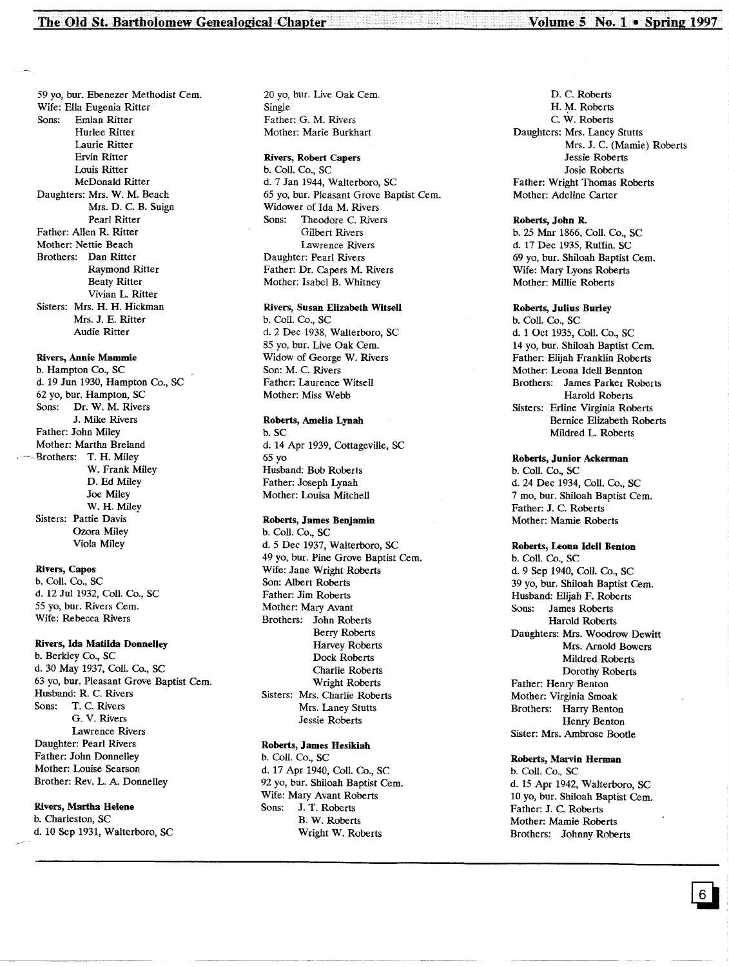59 yo, bur. Ebenezer Methodist Cem. Wife: Ella Eugenia Ritter Emlan Ritter Hurlee Ritter Laurie Ritter Ervin Ritter Louis Ritter McDonald Ritter Daughters: Mrs. W. M. Beach Mrs. D. C. B. Suign Pearl Ritter Father: Allen R. Ritter Mother: Nettie Beach Brothers: Dan Ritter Raymond Ritter Beaty Ritter Vivian L. Ritter Sisters: Mrs. H. H. Hickman Mrs. J. E. Ritter Audie Ritter

#### Rivers, Annie Mammie

b. Hampton Co., SC d. 19 Jun 1930, Hampton Co., SC 62 yo, bur. Hampton, SC Sons: Dr. W. M. Rivers J. Mike Rivers Father: John Miley Mother: Martha Breland Brothers: T. H. Miley W. Frank Miley D. Ed Miley Joe Miley W. H. Miley Sisters: Pattie Davis Ozora Miley Viola Miley

#### Rivers, Capos

b. CoIl. Co., SC d. 12 Jul 1932, CoIl. Co., SC 55 yo, bur. Rivers Cern. Wife: Rebecca Rivers

#### Rivers, Ida Matilda Donnelley

b. Berkley Co., SC d. 30 May 1937, CoIl. Co., SC 63 yo, bur. Pleasant Grove Baptist Cern. Husband: R. C. Rivers Sons: T. C. Rivers G. V. Rivers Lawrence Rivers Daughter: Pearl Rivers Father: John Donnelley Mother: Louise Searson Brother: Rev. L. A. Donnelley

#### Rivers, Martha Helene

b. Charleston, SC d. 10 Sep 1931, Walterboro, SC 20 yo, bur. Live Oak Cern. Single Father: G. M. Rivers Mother: Marie Burkhart

#### Rivers, Robert Capers

b. Coll. Co., SC d. 7 Jan 1944, Walterboro, SC 65 yo, bur. Pleasant Grove Baptist Cem. Widower of Ida M. Rivers Sons: Theodore C. Rivers Gilbert Rivers Lawrence Rivers Daughter: Pearl Rivers Father: Dr. Capers M. Rivers Mother: Isabel B. Whitney

#### Rivers, Susan Elizabeth Witsell

b. CoIl. Co., SC d. 2 Dec 1938, Walterboro, SC 85 yo, bur. Live Oak Cem. Widow of George W. Rivers Son: M. C. Rivers Father: Laurence Witsell Mother: Miss Webb

#### Roberts, Amelia Lynah

b. SC d. 14 Apr 1939, Cottageville, SC 65 yo Husband: Bob Roberts Father: Joseph Lynah Mother: Louisa Mitchell

#### Roberts, James Benjamin

b. Coil. Co., SC d.5 Dec 1937, Walterboro, SC 49 yo, bur. Pine Grove Baptist Cem. Wife: Jane Wright Roberts Son: Albert Roberts Father: Jim Roberts Mother: Mary Avant Brothers: John Roberts Berry Roberts Harvey Roberts Dock Roberts Charlie Roberts Wright Roberts Sisters: Mrs. Charlie Roberts Mrs. Laney Stutts Jessie Roberts

#### Roberts, James Hesikiah

b. Coli. Co., SC d. 17 Apr 1940, ColI. Co., SC 92 yo, bur. Shiloah Baptist Cem. Wife: Mary Avant Roberts<br>Sons: J. T. Roberts J. T. Roberts B. W. Roberts Wright W. Roberts

D. C. Roberts H. M. Roberts C. W. Roberts Daughters: Mrs. Laney Stutts Mrs. J. C. (Mamie) Roberts Jessie Roberts Josie Roberts Father: Wright Thomas Roberts Mother: Adeline Carter

#### Roberts, John R.

b. 25 Mar 1866, CoIl. Co., SC d. 17 Dec 1935, Ruffin, SC 69 yo, bur. Shiloah Baptist Cern. Wife: Mary Lyons Roberts Mother: Millie Roberts

#### Roberts, Julius Burley

b. Coil. Co., SC d. 1 Oct 1935, ColI. Co., SC 14 yo, bur. Shiloah Baptist Cern. Father: Elijah Franklin Roberts Mother: Leona Ideli Bennton Brothers: James Parker Roberts Harold Roberts Sisters: Erline Virginia Roberts Bernice Elizabeth Roberts Mildred L. Roberts

#### Roberts, Junior Ackerman

b. Coli. Co., SC d. 24 Dec 1934, CoIl. Co., SC 7 mo, bur. Shiloah Baptist Cern. Father: J. C. Roberts Mother: Mamie Roberts

#### Roberts, Leona Idell Benton

b. CoIl. Co., SC d. 9 Sep 1940, CoIl. Co., SC 39 yo, bur. Shiloah Baptist Cern. Husband: Elijah F. Roberts Sons: James Roberts Harold Roberts Daughters: Mrs. Woodrow Dewitt Mrs. Arnold Bowers Mildred Roberts Dorothy Roberts Father: Henry Benton Mother: Virginia Smoak Brothers: Harry Benton Henry Benton Sister: Mrs. Ambrose Bootie

#### Roberts, Marvin Herman

b. CoIl. Co., SC d. 15 Apr 1942, Walterboro, SC 10 yo, bur. Shiloah Baptist Cern. Father: J. C. Roberts Mother: Mamie Roberts Brothers: Johnny Roberts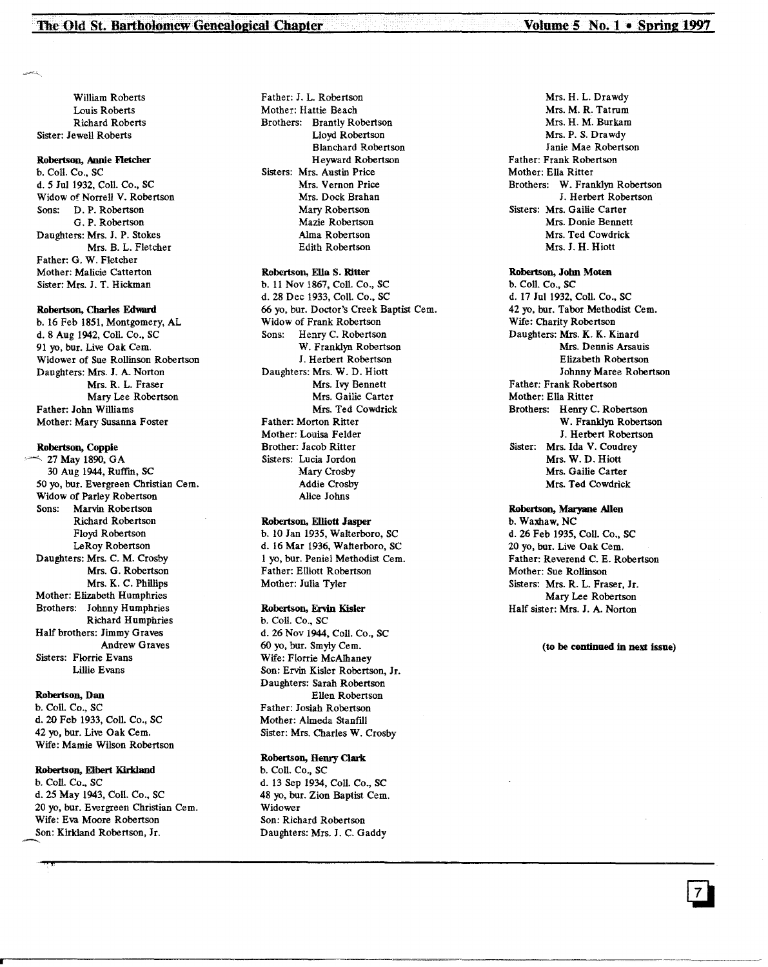William Roberts Louis Roberts Richard Roberts Sister: Jewell Roberts

#### Robertson, Annie Fletcher

b. Coil. Co., SC d. 5 Jul 1932, Coil. Co., SC Widow of Norrell V. Robertson Sons: D. P. Robertson G. P. Robertson Daughters: Mrs. 1. P. Stokes Mrs. B. L. Fletcher Father: G. W. Fletcher Mother: Malicie Catterton Sister: Mrs. J. T. Hickman

#### Robertson, Charles Edward

b. 16 Feb 1851, Montgomery, AL d. 8 Aug 1942, Coll. Co., SC 91 yo, bur. Live Oak Cern. Widower of Sue Rollinson Robertson Daughters: Mrs. J. A. Norton Mrs. R. L. Fraser Mary Lee Robertson Father: John Williams Mother: Mary Susanna Foster

#### Robertson, Copple

 $\sim$  27 May 1890, GA 30 Aug 1944, Ruffm, SC 50 yo, bur. Evergreen Christian Cern. Widow of Parley Robertson Sons: Marvin Robertson Richard Robertson Floyd Robertson leRoy Robertson Daughters: Mrs. C. M. Crosby Mrs. G. Robertson Mrs. K. C. Phillips Mother: Elizabeth Humphries Brothers: Johnny Humphries Richard Humphries Half brothers: Jimmy Graves Andrew Graves Sisters: Florrie Evans Lillie Evans

#### Robertson, Dan

b. Coli. Co., SC d. 20 Feb 1933, Coil. Co., SC 42 yo, bur. Live Oak Cern. Wife: Mamie Wilson Robertson

#### Robertson, Elbert Kirkland

b. Coli. Co., SC d. 25 May 1943, Coil. Co., SC 20 yo, bur. Evergreen Christian Cem.<br>20 yo, bur. Evergreen Christian Cem.<br>Wife: Eva Moore Robertson<br>Son: Kirkland Robertson, Jr. Wife: Eva Moore Robertson Son: Kirkland Robertson, Jr.

Father: J. L. Robertson Mother: Hattie Beach Brothers: Brantly Robertson Lloyd Robertson Blanchard Robertson Heyward Robertson Sisters: Mrs. Austin Price Mrs. Vernon Price Mrs. Dock Brahan Mary Robertson Mazie Robertson Alma Robertson Edith Robertson

#### Robertson, Ella S. Ritter

b. II Nov 1867, CoIl. Co., SC d. 28 Dec 1933, Coil. Co., SC 66 yo, bur. Doctor's Creek Baptist Cern. Widow of Frank Robertson Sons: Henry C. Robertson W. Franklyn Robertson 1. Herbert Robertson Daughters: Mrs. W. D. Hiott Mrs. Ivy Bennett Mrs. Gailie Carter Mrs. Ted Cowdrick Father: Morton Ritter Mother: Louisa Felder Brother: Jacob Ritter Sisters: Lucia Jordon Mary Crosby Addie Crosby Alice Johns

#### Robertson, Elliott Jasper

b. 10 Jan 1935, Walterboro, SC d. 16 Mar 1936, Walterboro, SC 1 yo, bur. Peniel Methodist Cern. Father: Elliott Robertson Mother: Julia Tyler

#### Robertson, Ervin Kisler

b. Coil. Co., SC d. 26 Nov 1944, Coil. Co., SC 60 yo, bur. Smyly Cern. Wife: Florrie McAthaney Son: Ervin Kisler Robertson, Jr. Daughters: Sarah Robertson Ellen Robertson Father: Josiah Robertson Mother: Almeda Stanftll Sister: Mrs. Charles W. Crosby

#### Robertson, Henry Clark

b. Coil. Co., SC d. 13 Sep 1934, Coil. Co., SC 48 yo, bur. Zion Baptist Cem. Widower Son: Richard Robertson Daughters: Mrs. 1. C. Gaddy

.,'''',1''"""----------------------------------------------------

Mrs. H. L. Drawdy Mrs. M. R. Tatrum Mrs. H. M. Burkam Mrs. P. S. Drawdy Janie Mae Robertson Father: Frank Robertson Mother: Ella Ritter Brothers: W. Franklyn Robertson J. Herbert Robertson Sisters: Mrs. Gailie Carter Mrs. Donie Bennett Mrs. Ted Cowdrick Mrs. J. H. Hiott

#### Robertson, John Moten

b. Coil. Co., SC d. 17 Jul 1932, Coll. Co., SC 42 yo, bur. Tabor Methodist Cem. Wife: Charity Robertson Daughters: Mrs. K. K. Kinard Mrs. Dennis Arsauis Elizabeth Robertson Johnny Maree Robertson Father: Frank Robertson Mother: Ella Ritter Brothers: Henry C. Robertson W. Franklyn Robertson J. Herbert Robertson Sister: Mrs. Ida V. Coudrey Mrs. W. D. Hiott Mrs. Gailie Carter Mrs. Ted Cowdrick

#### Robertson, Maryane Allen

b. Waxhaw, NC d. 26 Feb 1935, Coil. Co., SC 20 yo, bur. Live Oak Cern. Father: Reverend C. E. Robertson Mother: Sue Rollinson Sisters: Mrs. R. L. Fraser, Jr. Mary Lee Robertson Half sister: Mrs. J. A. Norton

(to be condnued in next issue)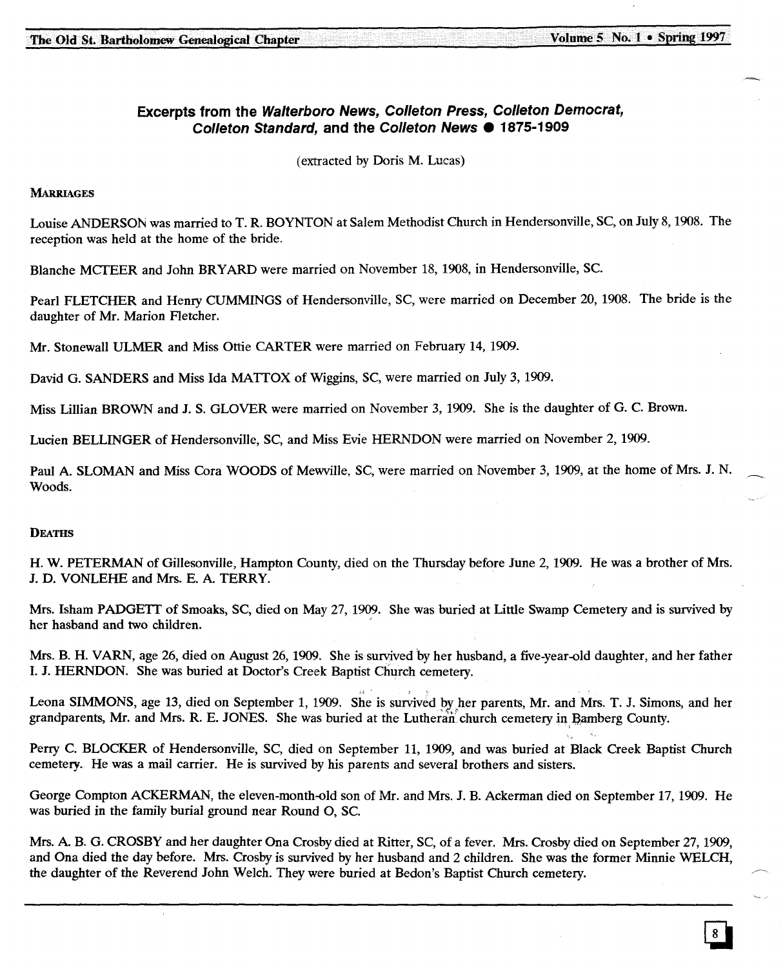$\ddot{\phantom{a}}$ 

### **Excerpts from the Walterboro News, Colleton Press, Colleton Democrat, Colleton Standard, and the Colleton News. 1875-1909**

(extracted by Doris M. Lucas)

#### **MARRIAGES**

Louise ANDERSON was married to T. R. BOYNTON at Salem Methodist Church in Hendersonville, SC, on July 8, 1908. The reception was held at the home of the bride.

Blanche MCTEER and John BRYARD were married on November 18, 1908, in Hendersonville, Sc.

Pearl FLETCHER and Henry CUMMINGS of Hendersonville, SC, were married on December 20, 1908. The bride is the daughter of Mr. Marion Fletcher.

Mr. Stonewall ULMER and Miss Ottie CARTER were married on February 14, 1909.

David G. SANDERS and Miss Ida MATTOX of Wiggins, SC, were married on July 3, 1909.

Miss Lillian BROWN and J. S. GLOVER were married on November 3, 1909. She is the daughter of G. C. Brown.

Lucien BELLINGER of Hendersonville, SC, and Miss Evie HERNDON were married on November 2, 1909.

Paul A. SLOMAN and Miss Cora WOODS of Mewville, SC, were married on November 3, 1909, at the home of Mrs. J. N. Woods.

#### **DEATHS**

H. W. PETERMAN of Gillesonville, Hampton County, died on the Thursday before June 2, 1909. He was a brother of Mrs. J. D. VONLEHE and Mrs. E. A. TERRY.

Mrs. Isham PADGETT of Smoaks, SC, died on May 27, 1909. She was buried at Little Swamp Cemetery and is survived by her hasband and two children.

Mrs. B. H. VARN, age 26, died on August 26,1909. She is survived by her husband, a five-year-old daughter, and her father 1. J. HERNDON. She was buried at Doctor's Creek Baptist Church cemetery.

Leona SIMMONS, age 13, died on September 1, 1909. She is survived by her parents, Mr. and Mrs. T. J. Simons, and her grandparents, Mr. and Mrs. R. E. JONES. She was buried at the Lutheran church cemetery in Bamberg County.

Perry C. BLOCKER of Hendersonville, SC, died on September 11, 1909, and was buried at Black Creek Baptist Church cemetery. He was a mail carrier. He is survived by his parents and several brothers and sisters.

George Compton ACKERMAN, the eleven-month-old son of Mr. and Mrs. J. B. Ackerman died on September 17,1909. He was buried in the family burial ground near Round 0, Sc.

Mrs. A. B. G. CROSBY and her daughter Ona Crosby died at Ritter, SC, of a fever. Mrs. Crosby died on September 27, 1909, and Ona died the day before. Mrs. Crosby is survived by her husband and 2 children. She was the former Minnie WELCH, the daughter of the Reverend John Welch. They were buried at Bedon's Baptist Church cemetery.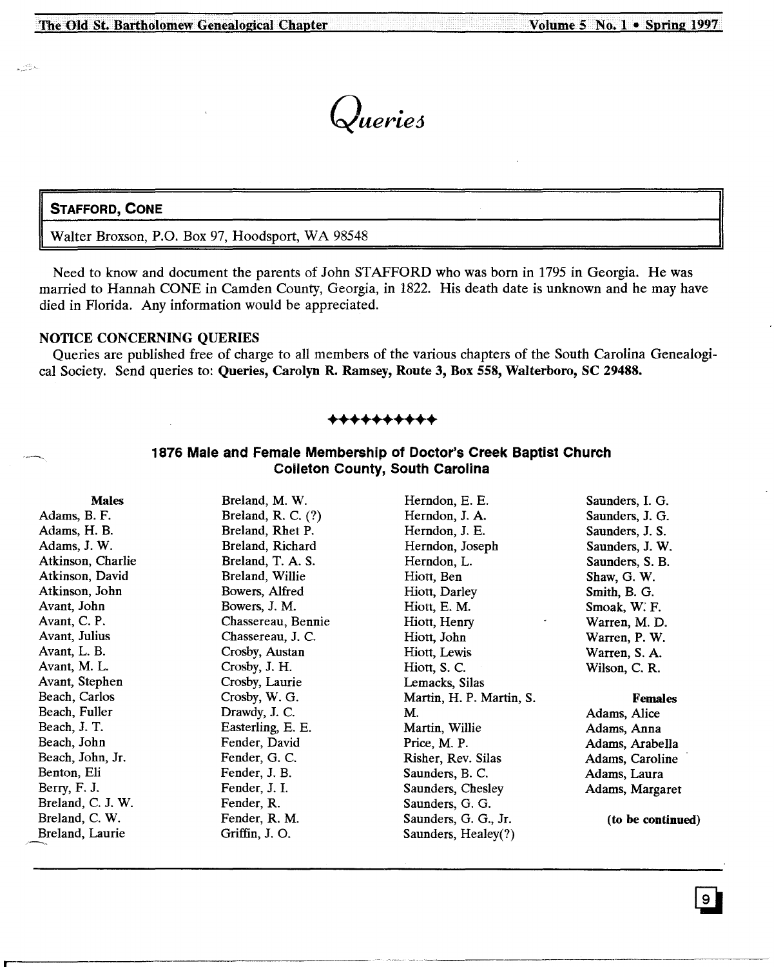*Queried*

#### **STAFFORD, CONE**

ستتبر

Walter Broxson, P.O. Box 97, Hoodsport, WA 98548

Need to know and document the parents of John STAFFORD who was born in 1795 in Georgia. He was married to Hannah CONE in Camden County, Georgia, in 1822. His death date is unknown and he may have died in Florida. Any information would be appreciated.

#### NOTICE CONCERNING QUERIES

Queries are published free of charge to all members of the various chapters of the South Carolina Genealogical Society. Send queries to: Queries, Carolyn R. Ramsey, Route 3, Box 558, Walterboro, SC 29488.

#### **++++++++++**

#### **1876 Male and Female Membership of Doctor's Creek Baptist Church Colleton County, South Carolina**

Males Adams, B. F. Adams, H. B. Adams, J. W. Atkinson, Charlie Atkinson, David Atkinson, John Avant, John Avant, C. P. Avant, Julius Avant, L. B. Avant, M. L. Avant, Stephen Beach, Carlos Beach, Fuller Beach, J. T. Beach, John Beach, John, Jr. Benton, Eli Berry, F. J. Breland, C. J. W. Breland, C. W. Breland, Laurie Breland, M. W. Breland, R. C. (?) Breland, Rhet P. Breland, Richard Breland, T. A. S. Breland, Willie Bowers, Alfred Bowers, J. M. Chassereau, Bennie Chassereau, J. C. Crosby, Austan Crosby, J. H. Crosby, Laurie Crosby, W. G. Drawdy, J. C. Easterling, E. E. Fender, David Fender, G. C. Fender, J. B. Fender, J. 1. Fender, R. Fender, R. M. Griffin, J. O. Herndon, E. E. Herndon, J. A. Herndon, J. E. Herndon, Joseph Herndon, L. Hiott, Ben Hiott, Darley Hiott, E. M. Hiott, Henry Hiott, John Hiott, Lewis Hiott, S. C. Lemacks, Silas Martin, H. P. Martin, S. M. Martin, Willie Price, M. P. Risher, Rev. Silas Saunders, B. C. Saunders, Chesley Saunders, G. G. Saunders, G. G., Jr. Saunders, Healey(?) Saunders, 1. G. Saunders, J. G. Saunders, J. S. Saunders, J. W. Saunders, S. B. Shaw, G. W. Smith, B. G. Smoak, W: F. Warren, M. D. Warren, P. W. Warren, S. A. Wilson, C. R. Females Adams, Alice Adams, Anna Adams, Arabella Adams, Caroline Adams, Laura Adams, Margaret (to be continued)